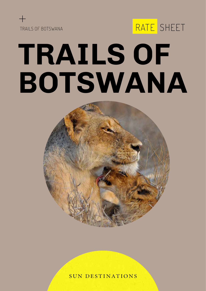

# **TRAILS OF BOTSWANA**

RATE SHEET



**SUN DESTINATIONS**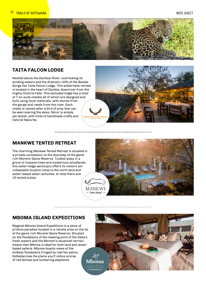

#### **TAITA FALCON LODGE**

Nestled above the Zambezi River, overlooking its winding waters and the dramatic cliffs of the Batoka Gorge lies Taita Falcon Lodge. This wilderness retreat is located in the heart of Zambia, downriver from the mighty Victoria Falls. This secluded lodge has a total of 7 en-suite chalets all of which are designed and built using local materials, with stones from the gorge and reeds from the river. Each chalet is named after a bird of prey that can be seen soaring the skies. Décor is simple, yet stylish, with hints of handmade crafts and natural features.



#### **MANKWE TENTED RETREAT**

The charming Mankwe Tented Retreat is situated in a private concession on the doorstep of the game rich Moremi Game Reserve. Tucked away in a grove of mopane trees and mysterious woodlands, this safari lodge sanctuary offers its visitors am unbeatable location close to the north land and water-based safari activities. In total there are 10 tented suites.



#### **MBOMA ISLAND EXPEDITIONS**

Magical Mboma Island Expeditions is a piece of pristine paradise located in a remote area on the tip of the game rich Moremi Game Reserve. Situated on the floodplains of the meeting point of the Delta's fresh waters and the Moremi's savannah terrain, means that Mboma is ideal for both land and water based safaris. Mboma boasts views of the endless floodplains fringed by real fan palms. Dottedacross the plains you'll notice scores of red lechwe and lumbering elephants

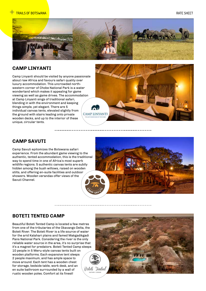

-----------

#### **CAMP LINYANTI**

Camp Linyanti should be visited by anyone passionate about raw Africa and favours safari quality over luxury accommodation. This uncrowded northwestern corner of Chobe National Park is a water wonderland which makes it appealing for game viewing as well as game drives. The accommodation at Camp Linyanti sings of traditional safari, blending in with the environment and keeping things simple, yet elegant. There are 5 individual canvas tents, elevated slightly from the ground with stairs leading onto private wooden decks, and up to the interior of these unique, circular tents.



#### **CAMP SAVUTI**

Camp Savuti epitomizes the Botswana safari experience. From the abundant game viewing to the authentic, tented accommodation, this is the traditional way to spend time in one of Africa's most superb wildlife regions. 5 authentic canvas tents are subtly hidden among the bush willows, raised on wooden stilts, and offering en-suite facilities and outdoor showers. Wooden verandas offer views of the Savuti Channel.



#### **BOTETI TENTED CAMP**

Beautiful Boteti Tented Camp is located a few metres from one of the tributaries of the Okavango Delta, the Boteti River. The Boteti River is a life source of water for the arid Kalahari plains and famed Makgadikgadi Pans National Park. Considering the river is the only reliable water source in the area, it's no surprise that it's a magnet for predators. Boteti Tented Camp sleeps 10 people in 5 Meru-style canvas tents built on wooden platforms. Each expansive tent sleeps 2 people maximum, and has ample space to move around. Each tent has a wooden chest for storage, bedside table, work desk, and an en suite bathroom surrounded by a wall of rustic wooden poles. Comfort at its finest!

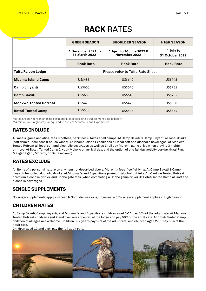# **RACK** RATES

|                              | <b>GREEN SEASON</b>                                                               | <b>SHOULDER SEASON</b> | <b>HIGH SEASON</b>           |  |  |  |
|------------------------------|-----------------------------------------------------------------------------------|------------------------|------------------------------|--|--|--|
|                              | 1 December 2021 to<br>1 April to 30 June 2022 &<br>November 2022<br>31 March 2022 |                        | 1 July to<br>31 October 2022 |  |  |  |
|                              | <b>Rack Rate</b>                                                                  | <b>Rack Rate</b>       | <b>Rack Rate</b>             |  |  |  |
| <b>Taita Falcon Lodge</b>    | Please refer to Taita Rate Sheet                                                  |                        |                              |  |  |  |
| <b>Mboma Island Camp</b>     | US\$485                                                                           | US\$640                | US\$745                      |  |  |  |
| <b>Camp Linyanti</b>         | US\$600                                                                           | US\$640                | US\$755                      |  |  |  |
| <b>Camp Savuti</b>           | US\$600                                                                           | US\$640                | US\$755                      |  |  |  |
| <b>Mankwe Tented Retreat</b> | US\$420                                                                           | US\$420                | US\$550                      |  |  |  |
| <b>Boteti Tented Camp</b>    | US\$535                                                                           | US\$535                | US\$535                      |  |  |  |

\*Rates are per person sharing per night, please see single supplement details below. \*\*A minimum 2-night stay is required to book at Mboma Island Expeditions.

#### **RATES INCLUDE**

All meals, game activities, teas & coffees, park fees & taxes at all camps. At Camp Savuti & Camp Linyanti all local drinks (soft drinks, local beer & house wines). At Mboma Island Expeditions all local soft and alcoholic beverages. At Mankwe Tented Retreat all local soft and alcoholic beverages as well as 1 full day Moremi game drive when staying 3 nights, or more. At Boteti Tented Camp 2 Hour Mokoro on arrival day, and the option of one full day activity per day (Nxai Pan, Makgadikgadi, Moremi, or Delta mokoro)

#### **RATES EXCLUDE**

All items of a personal nature or any item not described above. Moremi/ fees if self-driving. At Camp Savuti & Camp Linyanti Imported alcoholic drinks. At Mboma Island Expeditions premium alcoholic drinks. At Mankwe Tented Retreat premium alcoholic drinks, and Chobe gate fees (when completing a Chobe game drive). At Boteti Tented Camp all soft and alcoholic beverages

#### **SINGLE SUPPLEMENTS**

No single supplements apply in Green & Shoulder seasons; however, a 50% single supplement applies in High Season.

#### **CHILDREN RATES**

At Camp Savuti, Camp Linyanti, and Mboma Island Expeditions children aged 6-11 pay 50% of the adult rate. At Mankwe Tented Retreat children aged 2 and over are accepted at the lodge and pay 50% of the adult rate. At Boteti Tented Camp children of all ages are welcome. Children 0 -2 years pay 25% of the adult rate, and children aged 2-11 pay 50% of the adult rate.

Children aged 12 and over pay the full adult rate.

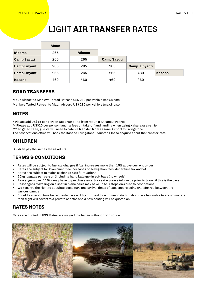# LIGHT **AIR TRANSFER** RATES

|                      | <b>Maun</b> |              |                    |                      |               |
|----------------------|-------------|--------------|--------------------|----------------------|---------------|
| <b>Mboma</b>         | 265         | <b>Mboma</b> |                    |                      |               |
| <b>Camp Savuti</b>   | 265         | 265          | <b>Camp Savuti</b> |                      |               |
| <b>Camp Linyanti</b> | 265         | 265          | 265                | <b>Camp Linyanti</b> |               |
| <b>Camp Linyanti</b> | 265         | 265          | 265                | 460                  | <b>Kasane</b> |
| <b>Kasane</b>        | 460         | 460          | 460                | 460                  |               |

#### **ROAD TRANSFERS**

Maun Airport to Mankwe Tented Retreat: US\$ 280 per vehicle (max.8 pax) Mankwe Tented Retreat to Maun Airport: US\$ 280 per vehicle (max.8 pax)

#### **NOTES**

\* Please add US\$15 per person Departure Tax from Maun & Kasane Airports.

\*\* Please add US\$20 per person landing fees on take-off and landing when using Xakanaxa airstrip.

\*\*\* To get to Taita, guests will need to catch a transfer from Kasane Airport to Livingstone.

The reservations office will book the Kasane Livingstone Transfer. Please enquire about the transfer rate

#### **CHILDREN**

Children pay the same rate as adults.

#### **TERMS & CONDITIONS**

- Rates will be subject to fuel surcharges if fuel increases more than 15% above current prices
- Rates are subject to Government fee increases on Navigation fees, departure tax and VAT
- Rates are subject to major exchange rate fluctuations
- 20kg luggage per person (including hand luggage) in soft bags (no wheels)
- Passengers over 110kg may have to purchase an extra seat please inform us prior to travel if this is the case
- Passengers travelling on a seat in plane basis may have up to 3 stops en-route to destinations
- We reserve the right to stipulate departure and arrival times of passengers being transferred between the various camps
- Should a specific time be requested, we will try our best to accommodate but should we be unable to accommodate then flight will revert to a private charter and a new costing will be quoted on.

#### **RATES NOTES**

Rates are quoted in US\$. Rates are subject to change without prior notice.

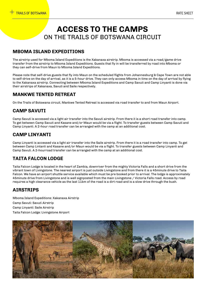## **ACCESS TO THE CAMPS** ON THE TRAILS OF BOTSWANA CIRCUIT

#### **MBOMA ISLAND EXPEDITIONS**

The airstrip used for Mboma Island Expeditions is the Xakanaxa airstrip. Mboma is accessed via a road/game drive transfer from the airstrip to Mboma Island Expeditions. Guests that fly in will be transferred by road into Mboma or they can self-drive from Maun to Mboma Island Expeditions.

Please note that self-drive guests that fly into Maun on the scheduled flights from Johannesburg & Cape Town are not able to self-drive on the day of arrival, as it is a 5-hour drive. They can only access Mboma in time on the day of arrival by flying to the Xakanaxa airstrip. Connecting between Mboma Island Expeditions and Camp Savuti and Camp Linyanti is done via their airstrips of Xakanaxa, Savuti and Saile respectively.

#### **MANKWE TENTED RETREAT**

On the Trails of Botswana circuit, Mankwe Tented Retreat is accessed via road transfer to and from Maun Airport.

#### **CAMP SAVUTI**

Camp Savuti is accessed via a light air transfer into the Savuti airstrip. From there it is a short road transfer into camp. To get between Camp Savuti and Kasane and/or Maun would be via a flight. To transfer guests between Camp Savuti and Camp Linyanti. A 2-hour road transfer can be arranged with the camp at an additional cost.

#### **CAMP LINYANTI**

Camp Linyanti is accessed via a light air transfer into the Saile airstrip. From there it is a road transfer into camp. To get between Camp Lintanti and Kasane and/or Maun would be via a flight. To transfer guests between Camp Linyanti and Camp Savuti. A 2-hourroad transfer can be arranged with the camp at an additional cost.

#### **TAITA FALCON LODGE**

Taita Falcon Lodge is located in the heart of Zambia, downriver from the mighty Victoria Falls and a short drive from the vibrant town of Livingstone. The nearest airport is just outside Livingstone and from there it is a 45minute drive to Taita Falcon. We have an airport shuttle service available which must be pre booked prior to arrival. The lodge is approximately 45minute drive from Livingstone and is well signposted from the main Livingstone / Victoria Falls road. Access by road requires a high clearance vehicle as the last 11km of the road is a dirt road and is a slow drive through the bush.

#### **AIRSTRIPS**

Mboma Island Expeditions: Xakanaxa Airstrip Camp Savuti: Savuti Airstrip Camp Linyanti: Saile Airstrip Taita Falcon Lodge: Livingstone Airport

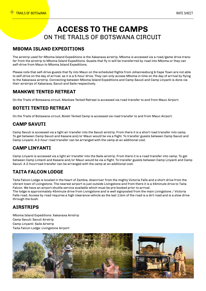## **ACCESS TO THE CAMPS** ON THE TRAILS OF BOTSWANA CIRCUIT

#### **MBOMA ISLAND EXPEDITIONS**

The airstrip used for Mboma Island Expeditions is the Xakanaxa airstrip. Mboma is accessed via a road/game drive transfer from the airstrip to Mboma Island Expeditions. Guests that fly in will be transferred by road into Mboma or they can self-drive from Maun to Mboma Island Expeditions.

Please note that self-drive guests that fly into Maun on the scheduled flights from Johannesburg & Cape Town are not able to self-drive on the day of arrival, as it is a 5-hour drive. They can only access Mboma in time on the day of arrival by flying to the Xakanaxa airstrip. Connecting between Mboma Island Expeditions and Camp Savuti and Camp Linyanti is done via their airstrips of Xakanaxa, Savuti and Saile respectively.

#### **MANKWE TENTED RETREAT**

On the Trails of Botswana circuit, Mankwe Tented Retreat is accessed via road transfer to and from Maun Airport.

#### **BOTETI TENTED RETREAT**

On the Trails of Botswana circuit, Boteti Tented Camp is accessed via road transfer to and from Maun Airport.

#### **CAMP SAVUTI**

Camp Savuti is accessed via a light air transfer into the Savuti airstrip. From there it is a short road transfer into camp. To get between Camp Savuti and Kasane and/or Maun would be via a flight. To transfer guests between Camp Savuti and Camp Linyanti. A 2-hour road transfer can be arranged with the camp at an additional cost.

#### **CAMP LINYANTI**

Camp Linyanti is accessed via a light air transfer into the Saile airstrip. From there it is a road transfer into camp. To get between Camp Lintanti and Kasane and/or Maun would be via a flight. To transfer guests between Camp Linyanti and Camp Savuti. A 2-hourroad transfer can be arranged with the camp at an additional cost.

#### **TAITA FALCON LODGE**

Taita Falcon Lodge is located in the heart of Zambia, downriver from the mighty Victoria Falls and a short drive from the vibrant town of Livingstone. The nearest airport is just outside Livingstone and from there it is a 45minute drive to Taita Falcon. We have an airport shuttle service available which must be pre booked prior to arrival. The lodge is approximately 45minute drive from Livingstone and is well signposted from the main Livingstone / Victoria Falls road. Access by road requires a high clearance vehicle as the last 11km of the road is a dirt road and is a slow drive through the bush.

#### **AIRSTRIPS**

Mboma Island Expeditions: Xakanaxa Airstrip Camp Savuti: Savuti Airstrip Camp Linyanti: Saile Airstrip Taita Falcon Lodge: Livingstone Airport